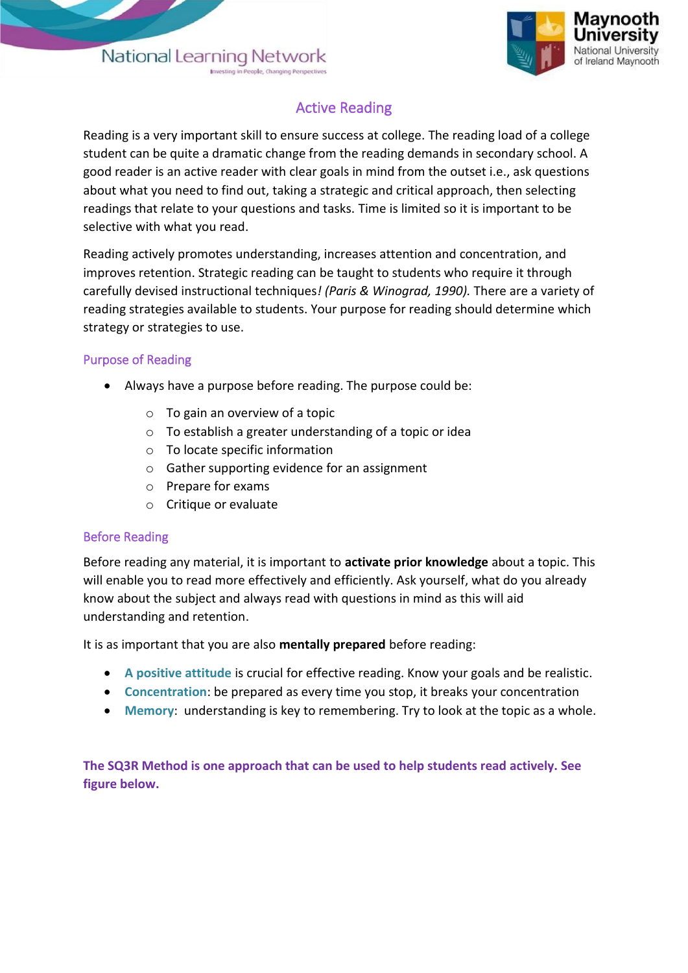

## Active Reading

Reading is a very important skill to ensure success at college. The reading load of a college student can be quite a dramatic change from the reading demands in secondary school. A good reader is an active reader with clear goals in mind from the outset i.e., ask questions about what you need to find out, taking a strategic and critical approach, then selecting readings that relate to your questions and tasks. Time is limited so it is important to be selective with what you read.

Reading actively promotes understanding, increases attention and concentration, and improves retention. Strategic reading can be taught to students who require it through carefully devised instructional techniques*! (Paris & Winograd, 1990).* There are a variety of reading strategies available to students. Your purpose for reading should determine which strategy or strategies to use.

## Purpose of Reading

- Always have a purpose before reading. The purpose could be:
	- $\circ$  To gain an overview of a topic
	- o To establish a greater understanding of a topic or idea
	- o To locate specific information
	- o Gather supporting evidence for an assignment
	- o Prepare for exams
	- o Critique or evaluate

## Before Reading

Before reading any material, it is important to **activate prior knowledge** about a topic. This will enable you to read more effectively and efficiently. Ask yourself, what do you already know about the subject and always read with questions in mind as this will aid understanding and retention.

It is as important that you are also **mentally prepared** before reading:

- **A positive attitude** is crucial for effective reading. Know your goals and be realistic.
- **Concentration**: be prepared as every time you stop, it breaks your concentration
- **Memory**: understanding is key to remembering. Try to look at the topic as a whole.

**The SQ3R Method is one approach that can be used to help students read actively. See figure below.**